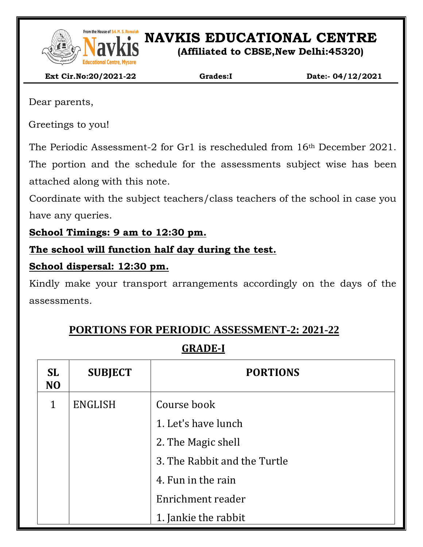

From the House of Sri. M. S. Ramaidah<br>**NAVEL SET ON AVIAGES** EDUCATIONAL CENTRE

**(Affiliated to CBSE,New Delhi:45320)**

 **Ext Cir.No:20/2021-22 Grades:I Date:- 04/12/2021**

Dear parents,

Greetings to you!

The Periodic Assessment-2 for Gr1 is rescheduled from 16th December 2021. The portion and the schedule for the assessments subject wise has been attached along with this note.

Coordinate with the subject teachers/class teachers of the school in case you have any queries.

**School Timings: 9 am to 12:30 pm.**

**The school will function half day during the test.**

### **School dispersal: 12:30 pm.**

Kindly make your transport arrangements accordingly on the days of the assessments.

# **PORTIONS FOR PERIODIC ASSESSMENT-2: 2021-22**

# **GRADE-I**

| <b>SL</b><br>N <sub>O</sub> | <b>SUBJECT</b> | <b>PORTIONS</b>              |  |
|-----------------------------|----------------|------------------------------|--|
| 1                           | <b>ENGLISH</b> | Course book                  |  |
|                             |                | 1. Let's have lunch          |  |
|                             |                | 2. The Magic shell           |  |
|                             |                | 3. The Rabbit and the Turtle |  |
|                             |                | 4. Fun in the rain           |  |
|                             |                | Enrichment reader            |  |
|                             |                | 1. Jankie the rabbit         |  |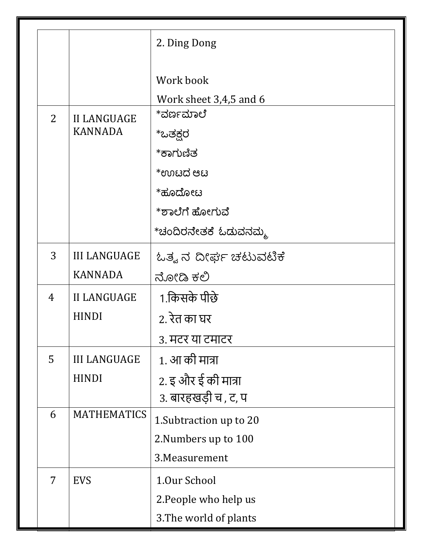|   |                                      | 2. Ding Dong            |
|---|--------------------------------------|-------------------------|
|   |                                      | Work book               |
|   |                                      | Work sheet 3,4,5 and 6  |
| 2 | <b>II LANGUAGE</b><br><b>KANNADA</b> | *ವರ್ಣಮಾಲೆ               |
|   |                                      | *ಒತಕ್ಷರ                 |
|   |                                      | *ಕಾಗುಣಿತ                |
|   |                                      | *ಉಟದ ಆಟ                 |
|   |                                      | *ಹೂದೋಟ                  |
|   |                                      | *ಶಾಲೆಗೆ ಹೋಗುವೆ          |
|   |                                      | *ಚಂದಿರನೇತಕೆ ಓಡುವನಮ್ಮ    |
| 3 | <b>III LANGUAGE</b>                  | ಓತ್ವ ನ ದೀರ್ಘ ಚಟುವಟಿಕೆ   |
|   | <b>KANNADA</b>                       | ನೋಡಿ ಕಲಿ                |
| 4 | <b>II LANGUAGE</b>                   | 1.किसके पीछे            |
|   | <b>HINDI</b>                         | 2. रेत का घर            |
|   |                                      | ३. मटर या टमाटर         |
| 5 | <b>III LANGUAGE</b>                  | 1. आ की मात्रा          |
|   | <b>HINDI</b>                         | 2. इ और ई की मात्रा     |
|   |                                      | 3. बारहखड़ी च, ट, प     |
| 6 | <b>MATHEMATICS</b>                   | 1. Subtraction up to 20 |
|   |                                      | 2. Numbers up to 100    |
|   |                                      | 3. Measurement          |
| 7 | <b>EVS</b>                           | 1.0ur School            |
|   |                                      | 2. People who help us   |
|   |                                      | 3. The world of plants  |